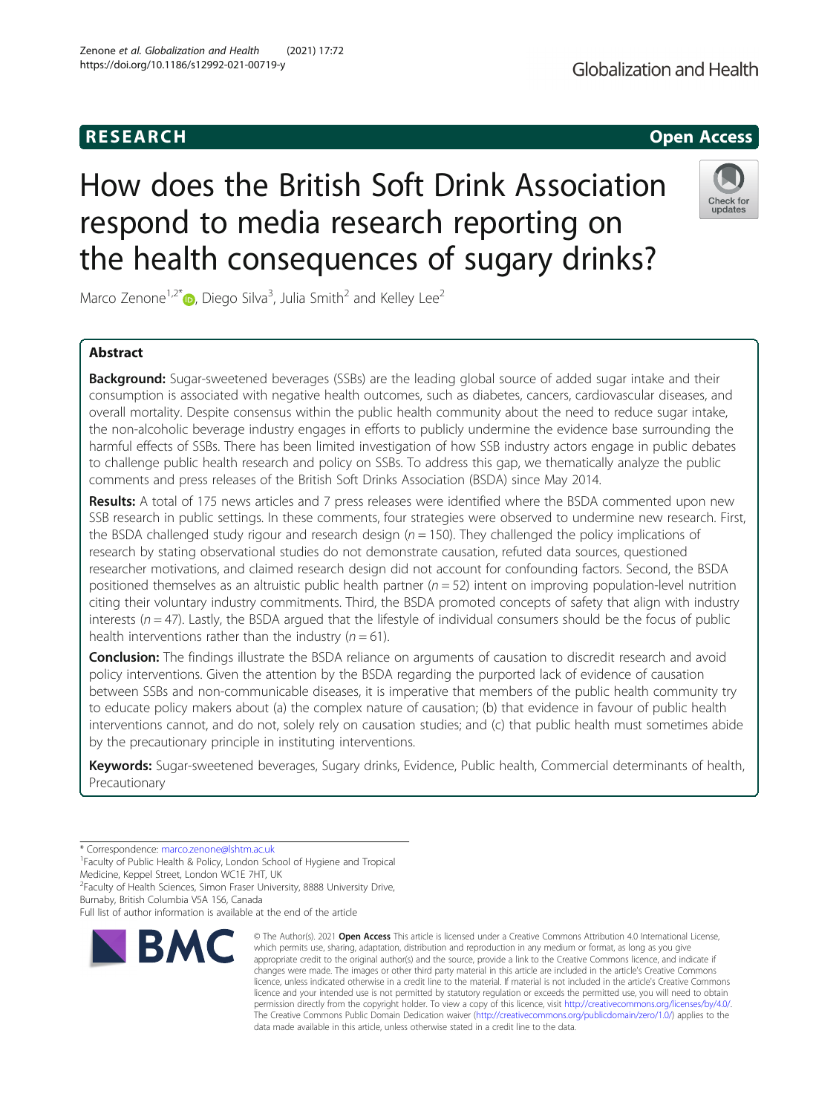## **RESEARCH CHILD CONTROL** CONTROL CONTROL CONTROL CONTROL CONTROL CONTROL CONTROL CONTROL CONTROL CONTROL CONTROL CONTROL CONTROL CONTROL CONTROL CONTROL CONTROL CONTROL CONTROL CONTROL CONTROL CONTROL CONTROL CONTROL CONTR

## Globalization and Health

# How does the British Soft Drink Association respond to media research reporting on the health consequences of sugary drinks?



Marco Zenone<sup>1[,](http://orcid.org/0000-0003-4201-6070)2\*</sup> $\textsf{D}$ , Diego Silva<sup>3</sup>, Julia Smith<sup>2</sup> and Kelley Lee<sup>2</sup>

## Abstract

**Background:** Sugar-sweetened beverages (SSBs) are the leading global source of added sugar intake and their consumption is associated with negative health outcomes, such as diabetes, cancers, cardiovascular diseases, and overall mortality. Despite consensus within the public health community about the need to reduce sugar intake, the non-alcoholic beverage industry engages in efforts to publicly undermine the evidence base surrounding the harmful effects of SSBs. There has been limited investigation of how SSB industry actors engage in public debates to challenge public health research and policy on SSBs. To address this gap, we thematically analyze the public comments and press releases of the British Soft Drinks Association (BSDA) since May 2014.

Results: A total of 175 news articles and 7 press releases were identified where the BSDA commented upon new SSB research in public settings. In these comments, four strategies were observed to undermine new research. First, the BSDA challenged study rigour and research design  $(n = 150)$ . They challenged the policy implications of research by stating observational studies do not demonstrate causation, refuted data sources, questioned researcher motivations, and claimed research design did not account for confounding factors. Second, the BSDA positioned themselves as an altruistic public health partner  $(n = 52)$  intent on improving population-level nutrition citing their voluntary industry commitments. Third, the BSDA promoted concepts of safety that align with industry interests ( $n = 47$ ). Lastly, the BSDA argued that the lifestyle of individual consumers should be the focus of public health interventions rather than the industry ( $n = 61$ ).

**Conclusion:** The findings illustrate the BSDA reliance on arguments of causation to discredit research and avoid policy interventions. Given the attention by the BSDA regarding the purported lack of evidence of causation between SSBs and non-communicable diseases, it is imperative that members of the public health community try to educate policy makers about (a) the complex nature of causation; (b) that evidence in favour of public health interventions cannot, and do not, solely rely on causation studies; and (c) that public health must sometimes abide by the precautionary principle in instituting interventions.

Keywords: Sugar-sweetened beverages, Sugary drinks, Evidence, Public health, Commercial determinants of health, Precautionary

\* Correspondence: [marco.zenone@lshtm.ac.uk](mailto:marco.zenone@lshtm.ac.uk) <sup>1</sup>

<sup>1</sup> Faculty of Public Health & Policy, London School of Hygiene and Tropical

Medicine, Keppel Street, London WC1E 7HT, UK

<sup>2</sup> Faculty of Health Sciences, Simon Fraser University, 8888 University Drive,

Burnaby, British Columbia V5A 1S6, Canada

Full list of author information is available at the end of the article



<sup>©</sup> The Author(s), 2021 **Open Access** This article is licensed under a Creative Commons Attribution 4.0 International License, which permits use, sharing, adaptation, distribution and reproduction in any medium or format, as long as you give appropriate credit to the original author(s) and the source, provide a link to the Creative Commons licence, and indicate if changes were made. The images or other third party material in this article are included in the article's Creative Commons licence, unless indicated otherwise in a credit line to the material. If material is not included in the article's Creative Commons licence and your intended use is not permitted by statutory regulation or exceeds the permitted use, you will need to obtain permission directly from the copyright holder. To view a copy of this licence, visit [http://creativecommons.org/licenses/by/4.0/.](http://creativecommons.org/licenses/by/4.0/) The Creative Commons Public Domain Dedication waiver [\(http://creativecommons.org/publicdomain/zero/1.0/](http://creativecommons.org/publicdomain/zero/1.0/)) applies to the data made available in this article, unless otherwise stated in a credit line to the data.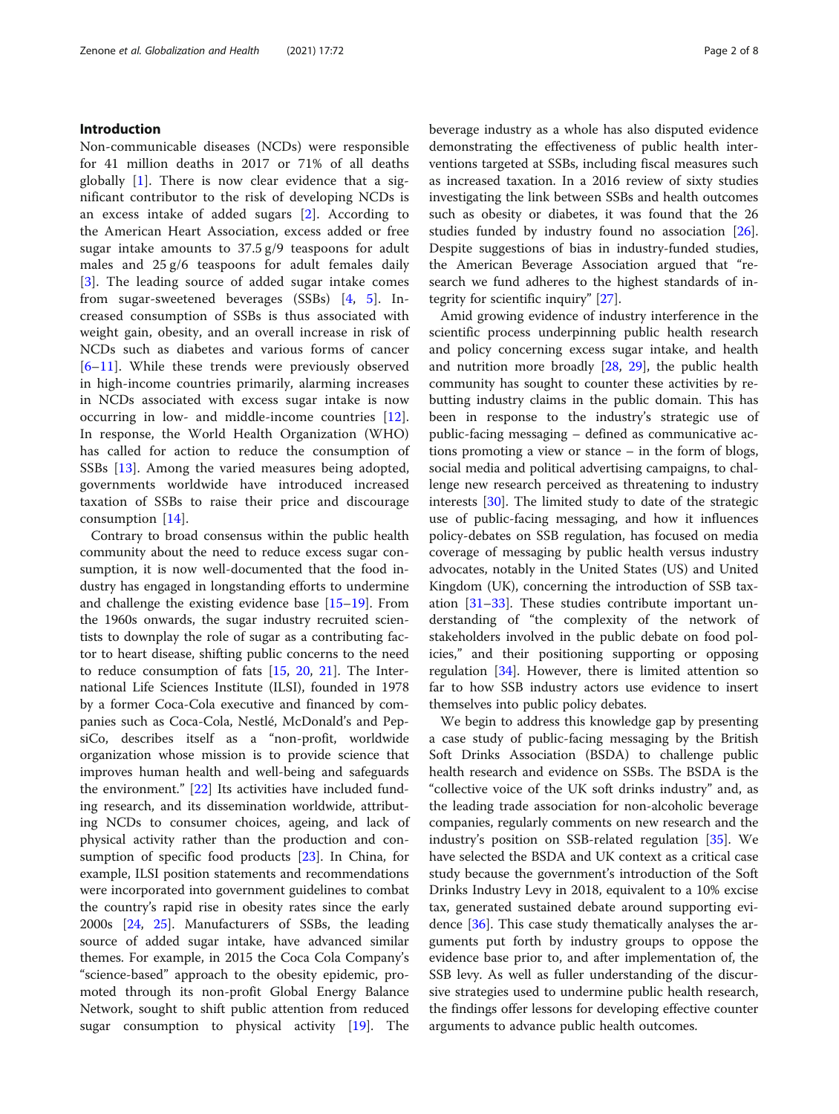#### Introduction

Non-communicable diseases (NCDs) were responsible for 41 million deaths in 2017 or 71% of all deaths globally  $[1]$  $[1]$ . There is now clear evidence that a significant contributor to the risk of developing NCDs is an excess intake of added sugars [[2](#page-6-0)]. According to the American Heart Association, excess added or free sugar intake amounts to  $37.5 \frac{g}{9}$  teaspoons for adult males and 25 g/6 teaspoons for adult females daily [[3\]](#page-6-0). The leading source of added sugar intake comes from sugar-sweetened beverages (SSBs) [\[4](#page-6-0), [5](#page-6-0)]. Increased consumption of SSBs is thus associated with weight gain, obesity, and an overall increase in risk of NCDs such as diabetes and various forms of cancer [[6](#page-6-0)–[11\]](#page-6-0). While these trends were previously observed in high-income countries primarily, alarming increases in NCDs associated with excess sugar intake is now occurring in low- and middle-income countries [\[12](#page-6-0)]. In response, the World Health Organization (WHO) has called for action to reduce the consumption of SSBs [\[13](#page-6-0)]. Among the varied measures being adopted, governments worldwide have introduced increased taxation of SSBs to raise their price and discourage consumption [[14\]](#page-6-0).

Contrary to broad consensus within the public health community about the need to reduce excess sugar consumption, it is now well-documented that the food industry has engaged in longstanding efforts to undermine and challenge the existing evidence base [[15](#page-6-0)–[19](#page-6-0)]. From the 1960s onwards, the sugar industry recruited scientists to downplay the role of sugar as a contributing factor to heart disease, shifting public concerns to the need to reduce consumption of fats  $[15, 20, 21]$  $[15, 20, 21]$  $[15, 20, 21]$  $[15, 20, 21]$  $[15, 20, 21]$  $[15, 20, 21]$ . The International Life Sciences Institute (ILSI), founded in 1978 by a former Coca-Cola executive and financed by companies such as Coca-Cola, Nestlé, McDonald's and PepsiCo, describes itself as a "non-profit, worldwide organization whose mission is to provide science that improves human health and well-being and safeguards the environment." [[22\]](#page-6-0) Its activities have included funding research, and its dissemination worldwide, attributing NCDs to consumer choices, ageing, and lack of physical activity rather than the production and consumption of specific food products [\[23](#page-6-0)]. In China, for example, ILSI position statements and recommendations were incorporated into government guidelines to combat the country's rapid rise in obesity rates since the early 2000s [\[24](#page-6-0), [25\]](#page-6-0). Manufacturers of SSBs, the leading source of added sugar intake, have advanced similar themes. For example, in 2015 the Coca Cola Company's "science-based" approach to the obesity epidemic, promoted through its non-profit Global Energy Balance Network, sought to shift public attention from reduced sugar consumption to physical activity [\[19\]](#page-6-0). The beverage industry as a whole has also disputed evidence demonstrating the effectiveness of public health interventions targeted at SSBs, including fiscal measures such as increased taxation. In a 2016 review of sixty studies investigating the link between SSBs and health outcomes such as obesity or diabetes, it was found that the 26 studies funded by industry found no association [\[26](#page-6-0)]. Despite suggestions of bias in industry-funded studies, the American Beverage Association argued that "research we fund adheres to the highest standards of integrity for scientific inquiry" [\[27](#page-6-0)].

Amid growing evidence of industry interference in the scientific process underpinning public health research and policy concerning excess sugar intake, and health and nutrition more broadly [[28,](#page-6-0) [29](#page-6-0)], the public health community has sought to counter these activities by rebutting industry claims in the public domain. This has been in response to the industry's strategic use of public-facing messaging – defined as communicative actions promoting a view or stance – in the form of blogs, social media and political advertising campaigns, to challenge new research perceived as threatening to industry interests [[30\]](#page-6-0). The limited study to date of the strategic use of public-facing messaging, and how it influences policy-debates on SSB regulation, has focused on media coverage of messaging by public health versus industry advocates, notably in the United States (US) and United Kingdom (UK), concerning the introduction of SSB taxation [\[31](#page-6-0)–[33\]](#page-6-0). These studies contribute important understanding of "the complexity of the network of stakeholders involved in the public debate on food policies," and their positioning supporting or opposing regulation [\[34\]](#page-6-0). However, there is limited attention so far to how SSB industry actors use evidence to insert themselves into public policy debates.

We begin to address this knowledge gap by presenting a case study of public-facing messaging by the British Soft Drinks Association (BSDA) to challenge public health research and evidence on SSBs. The BSDA is the "collective voice of the UK soft drinks industry" and, as the leading trade association for non-alcoholic beverage companies, regularly comments on new research and the industry's position on SSB-related regulation [\[35\]](#page-6-0). We have selected the BSDA and UK context as a critical case study because the government's introduction of the Soft Drinks Industry Levy in 2018, equivalent to a 10% excise tax, generated sustained debate around supporting evidence [\[36\]](#page-6-0). This case study thematically analyses the arguments put forth by industry groups to oppose the evidence base prior to, and after implementation of, the SSB levy. As well as fuller understanding of the discursive strategies used to undermine public health research, the findings offer lessons for developing effective counter arguments to advance public health outcomes.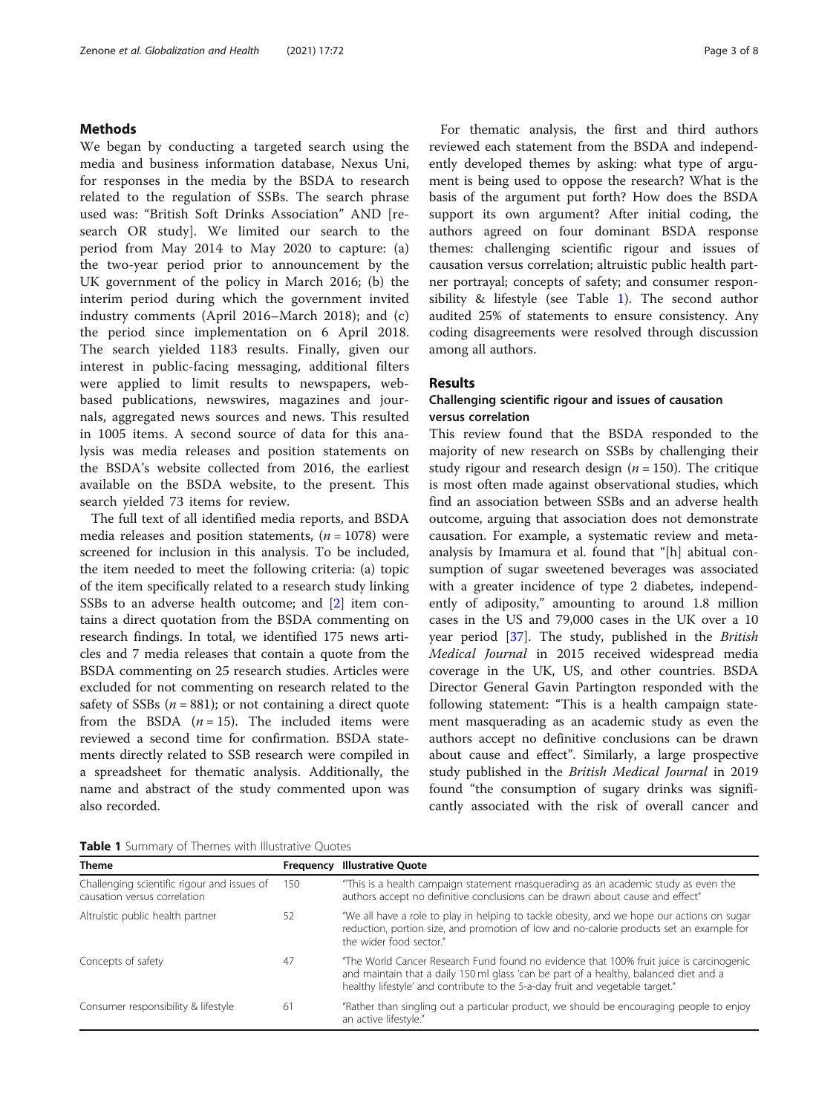#### Methods

We began by conducting a targeted search using the media and business information database, Nexus Uni, for responses in the media by the BSDA to research related to the regulation of SSBs. The search phrase used was: "British Soft Drinks Association" AND [research OR study]. We limited our search to the period from May 2014 to May 2020 to capture: (a) the two-year period prior to announcement by the UK government of the policy in March 2016; (b) the interim period during which the government invited industry comments (April 2016–March 2018); and (c) the period since implementation on 6 April 2018. The search yielded 1183 results. Finally, given our interest in public-facing messaging, additional filters were applied to limit results to newspapers, webbased publications, newswires, magazines and journals, aggregated news sources and news. This resulted in 1005 items. A second source of data for this analysis was media releases and position statements on the BSDA's website collected from 2016, the earliest available on the BSDA website, to the present. This search yielded 73 items for review.

The full text of all identified media reports, and BSDA media releases and position statements,  $(n = 1078)$  were screened for inclusion in this analysis. To be included, the item needed to meet the following criteria: (a) topic of the item specifically related to a research study linking SSBs to an adverse health outcome; and [[2\]](#page-6-0) item contains a direct quotation from the BSDA commenting on research findings. In total, we identified 175 news articles and 7 media releases that contain a quote from the BSDA commenting on 25 research studies. Articles were excluded for not commenting on research related to the safety of SSBs ( $n = 881$ ); or not containing a direct quote from the BSDA  $(n = 15)$ . The included items were reviewed a second time for confirmation. BSDA statements directly related to SSB research were compiled in a spreadsheet for thematic analysis. Additionally, the name and abstract of the study commented upon was also recorded.

For thematic analysis, the first and third authors reviewed each statement from the BSDA and independently developed themes by asking: what type of argument is being used to oppose the research? What is the basis of the argument put forth? How does the BSDA support its own argument? After initial coding, the authors agreed on four dominant BSDA response themes: challenging scientific rigour and issues of causation versus correlation; altruistic public health partner portrayal; concepts of safety; and consumer responsibility & lifestyle (see Table 1). The second author audited 25% of statements to ensure consistency. Any coding disagreements were resolved through discussion among all authors.

#### Results

### Challenging scientific rigour and issues of causation versus correlation

This review found that the BSDA responded to the majority of new research on SSBs by challenging their study rigour and research design ( $n = 150$ ). The critique is most often made against observational studies, which find an association between SSBs and an adverse health outcome, arguing that association does not demonstrate causation. For example, a systematic review and metaanalysis by Imamura et al. found that "[h] abitual consumption of sugar sweetened beverages was associated with a greater incidence of type 2 diabetes, independently of adiposity," amounting to around 1.8 million cases in the US and 79,000 cases in the UK over a 10 year period [\[37\]](#page-6-0). The study, published in the British Medical Journal in 2015 received widespread media coverage in the UK, US, and other countries. BSDA Director General Gavin Partington responded with the following statement: "This is a health campaign statement masquerading as an academic study as even the authors accept no definitive conclusions can be drawn about cause and effect". Similarly, a large prospective study published in the British Medical Journal in 2019 found "the consumption of sugary drinks was significantly associated with the risk of overall cancer and

Table 1 Summary of Themes with Illustrative Quotes

| <b>Theme</b>                                                                | Frequency | <b>Illustrative Quote</b>                                                                                                                                                                                                                                         |
|-----------------------------------------------------------------------------|-----------|-------------------------------------------------------------------------------------------------------------------------------------------------------------------------------------------------------------------------------------------------------------------|
| Challenging scientific rigour and issues of<br>causation versus correlation | 150       | "This is a health campaign statement masquerading as an academic study as even the<br>authors accept no definitive conclusions can be drawn about cause and effect"                                                                                               |
| Altruistic public health partner                                            | 52        | "We all have a role to play in helping to tackle obesity, and we hope our actions on sugar<br>reduction, portion size, and promotion of low and no-calorie products set an example for<br>the wider food sector."                                                 |
| Concepts of safety                                                          | -47       | "The World Cancer Research Fund found no evidence that 100% fruit juice is carcinogenic<br>and maintain that a daily 150 ml glass 'can be part of a healthy, balanced diet and a<br>healthy lifestyle' and contribute to the 5-a-day fruit and vegetable target." |
| Consumer responsibility & lifestyle                                         | 61        | "Rather than singling out a particular product, we should be encouraging people to enjoy<br>an active lifestyle."                                                                                                                                                 |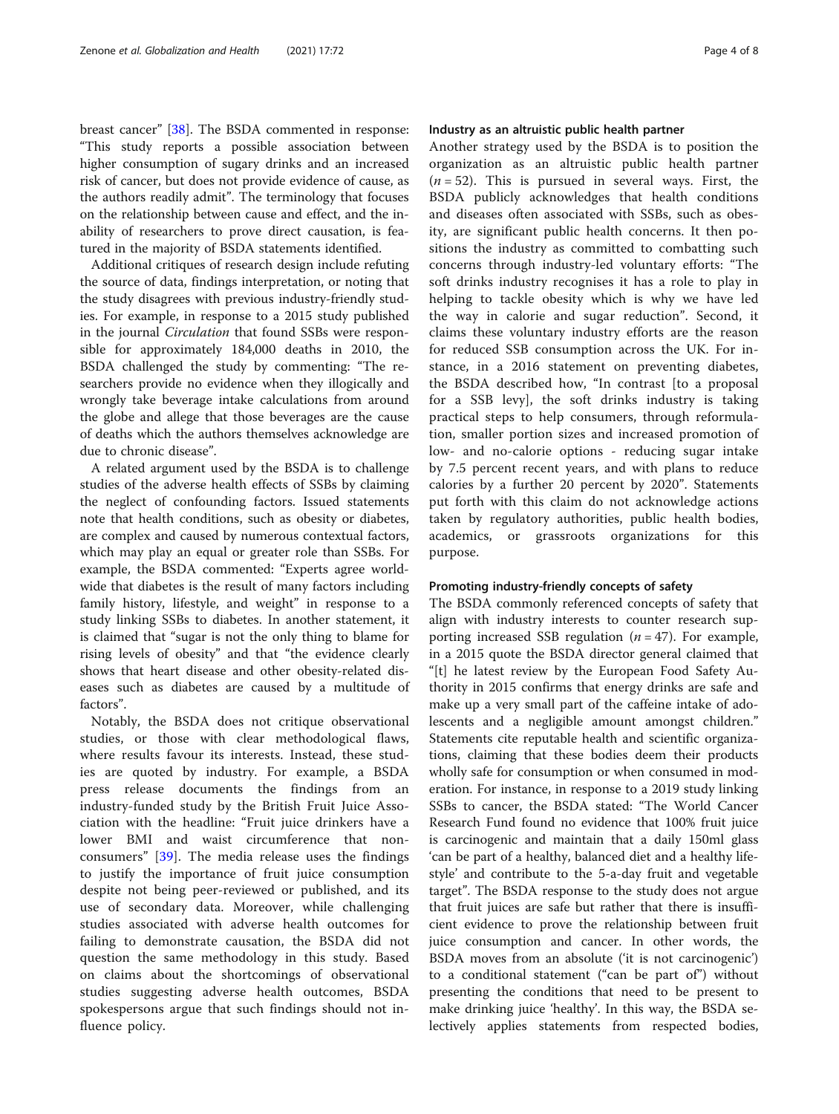breast cancer" [[38\]](#page-6-0). The BSDA commented in response: "This study reports a possible association between higher consumption of sugary drinks and an increased risk of cancer, but does not provide evidence of cause, as the authors readily admit". The terminology that focuses on the relationship between cause and effect, and the inability of researchers to prove direct causation, is featured in the majority of BSDA statements identified.

Additional critiques of research design include refuting the source of data, findings interpretation, or noting that the study disagrees with previous industry-friendly studies. For example, in response to a 2015 study published in the journal Circulation that found SSBs were responsible for approximately 184,000 deaths in 2010, the BSDA challenged the study by commenting: "The researchers provide no evidence when they illogically and wrongly take beverage intake calculations from around the globe and allege that those beverages are the cause of deaths which the authors themselves acknowledge are due to chronic disease".

A related argument used by the BSDA is to challenge studies of the adverse health effects of SSBs by claiming the neglect of confounding factors. Issued statements note that health conditions, such as obesity or diabetes, are complex and caused by numerous contextual factors, which may play an equal or greater role than SSBs. For example, the BSDA commented: "Experts agree worldwide that diabetes is the result of many factors including family history, lifestyle, and weight" in response to a study linking SSBs to diabetes. In another statement, it is claimed that "sugar is not the only thing to blame for rising levels of obesity" and that "the evidence clearly shows that heart disease and other obesity-related diseases such as diabetes are caused by a multitude of factors".

Notably, the BSDA does not critique observational studies, or those with clear methodological flaws, where results favour its interests. Instead, these studies are quoted by industry. For example, a BSDA press release documents the findings from an industry-funded study by the British Fruit Juice Association with the headline: "Fruit juice drinkers have a lower BMI and waist circumference that nonconsumers" [\[39](#page-6-0)]. The media release uses the findings to justify the importance of fruit juice consumption despite not being peer-reviewed or published, and its use of secondary data. Moreover, while challenging studies associated with adverse health outcomes for failing to demonstrate causation, the BSDA did not question the same methodology in this study. Based on claims about the shortcomings of observational studies suggesting adverse health outcomes, BSDA spokespersons argue that such findings should not influence policy.

#### Industry as an altruistic public health partner

Another strategy used by the BSDA is to position the organization as an altruistic public health partner  $(n = 52)$ . This is pursued in several ways. First, the BSDA publicly acknowledges that health conditions and diseases often associated with SSBs, such as obesity, are significant public health concerns. It then positions the industry as committed to combatting such concerns through industry-led voluntary efforts: "The soft drinks industry recognises it has a role to play in helping to tackle obesity which is why we have led the way in calorie and sugar reduction". Second, it claims these voluntary industry efforts are the reason for reduced SSB consumption across the UK. For instance, in a 2016 statement on preventing diabetes, the BSDA described how, "In contrast [to a proposal for a SSB levy], the soft drinks industry is taking practical steps to help consumers, through reformulation, smaller portion sizes and increased promotion of low- and no-calorie options - reducing sugar intake by 7.5 percent recent years, and with plans to reduce calories by a further 20 percent by 2020". Statements put forth with this claim do not acknowledge actions taken by regulatory authorities, public health bodies, academics, or grassroots organizations for this purpose.

#### Promoting industry-friendly concepts of safety

The BSDA commonly referenced concepts of safety that align with industry interests to counter research supporting increased SSB regulation  $(n = 47)$ . For example, in a 2015 quote the BSDA director general claimed that "[t] he latest review by the European Food Safety Authority in 2015 confirms that energy drinks are safe and make up a very small part of the caffeine intake of adolescents and a negligible amount amongst children." Statements cite reputable health and scientific organizations, claiming that these bodies deem their products wholly safe for consumption or when consumed in moderation. For instance, in response to a 2019 study linking SSBs to cancer, the BSDA stated: "The World Cancer Research Fund found no evidence that 100% fruit juice is carcinogenic and maintain that a daily 150ml glass 'can be part of a healthy, balanced diet and a healthy lifestyle' and contribute to the 5-a-day fruit and vegetable target". The BSDA response to the study does not argue that fruit juices are safe but rather that there is insufficient evidence to prove the relationship between fruit juice consumption and cancer. In other words, the BSDA moves from an absolute ('it is not carcinogenic') to a conditional statement ("can be part of") without presenting the conditions that need to be present to make drinking juice 'healthy'. In this way, the BSDA selectively applies statements from respected bodies,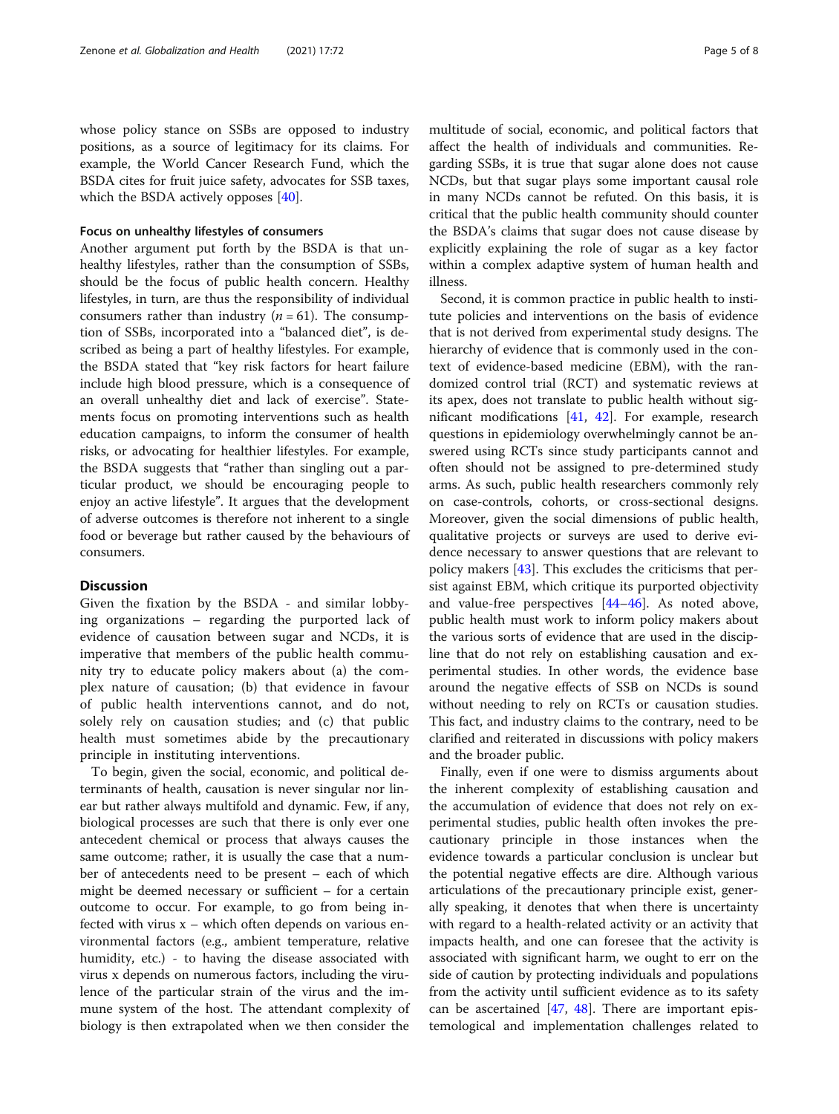whose policy stance on SSBs are opposed to industry positions, as a source of legitimacy for its claims. For example, the World Cancer Research Fund, which the BSDA cites for fruit juice safety, advocates for SSB taxes, which the BSDA actively opposes [[40\]](#page-6-0).

#### Focus on unhealthy lifestyles of consumers

Another argument put forth by the BSDA is that unhealthy lifestyles, rather than the consumption of SSBs, should be the focus of public health concern. Healthy lifestyles, in turn, are thus the responsibility of individual consumers rather than industry  $(n = 61)$ . The consumption of SSBs, incorporated into a "balanced diet", is described as being a part of healthy lifestyles. For example, the BSDA stated that "key risk factors for heart failure include high blood pressure, which is a consequence of an overall unhealthy diet and lack of exercise". Statements focus on promoting interventions such as health education campaigns, to inform the consumer of health risks, or advocating for healthier lifestyles. For example, the BSDA suggests that "rather than singling out a particular product, we should be encouraging people to enjoy an active lifestyle". It argues that the development of adverse outcomes is therefore not inherent to a single food or beverage but rather caused by the behaviours of consumers.

#### **Discussion**

Given the fixation by the BSDA - and similar lobbying organizations – regarding the purported lack of evidence of causation between sugar and NCDs, it is imperative that members of the public health community try to educate policy makers about (a) the complex nature of causation; (b) that evidence in favour of public health interventions cannot, and do not, solely rely on causation studies; and (c) that public health must sometimes abide by the precautionary principle in instituting interventions.

To begin, given the social, economic, and political determinants of health, causation is never singular nor linear but rather always multifold and dynamic. Few, if any, biological processes are such that there is only ever one antecedent chemical or process that always causes the same outcome; rather, it is usually the case that a number of antecedents need to be present – each of which might be deemed necessary or sufficient – for a certain outcome to occur. For example, to go from being infected with virus  $x$  – which often depends on various environmental factors (e.g., ambient temperature, relative humidity, etc.) - to having the disease associated with virus x depends on numerous factors, including the virulence of the particular strain of the virus and the immune system of the host. The attendant complexity of biology is then extrapolated when we then consider the

multitude of social, economic, and political factors that affect the health of individuals and communities. Regarding SSBs, it is true that sugar alone does not cause NCDs, but that sugar plays some important causal role in many NCDs cannot be refuted. On this basis, it is critical that the public health community should counter the BSDA's claims that sugar does not cause disease by explicitly explaining the role of sugar as a key factor within a complex adaptive system of human health and illness.

Second, it is common practice in public health to institute policies and interventions on the basis of evidence that is not derived from experimental study designs. The hierarchy of evidence that is commonly used in the context of evidence-based medicine (EBM), with the randomized control trial (RCT) and systematic reviews at its apex, does not translate to public health without significant modifications [\[41,](#page-7-0) [42\]](#page-7-0). For example, research questions in epidemiology overwhelmingly cannot be answered using RCTs since study participants cannot and often should not be assigned to pre-determined study arms. As such, public health researchers commonly rely on case-controls, cohorts, or cross-sectional designs. Moreover, given the social dimensions of public health, qualitative projects or surveys are used to derive evidence necessary to answer questions that are relevant to policy makers [\[43](#page-7-0)]. This excludes the criticisms that persist against EBM, which critique its purported objectivity and value-free perspectives [\[44](#page-7-0)–[46\]](#page-7-0). As noted above, public health must work to inform policy makers about the various sorts of evidence that are used in the discipline that do not rely on establishing causation and experimental studies. In other words, the evidence base around the negative effects of SSB on NCDs is sound without needing to rely on RCTs or causation studies. This fact, and industry claims to the contrary, need to be clarified and reiterated in discussions with policy makers and the broader public.

Finally, even if one were to dismiss arguments about the inherent complexity of establishing causation and the accumulation of evidence that does not rely on experimental studies, public health often invokes the precautionary principle in those instances when the evidence towards a particular conclusion is unclear but the potential negative effects are dire. Although various articulations of the precautionary principle exist, generally speaking, it denotes that when there is uncertainty with regard to a health-related activity or an activity that impacts health, and one can foresee that the activity is associated with significant harm, we ought to err on the side of caution by protecting individuals and populations from the activity until sufficient evidence as to its safety can be ascertained  $[47, 48]$  $[47, 48]$  $[47, 48]$ . There are important epistemological and implementation challenges related to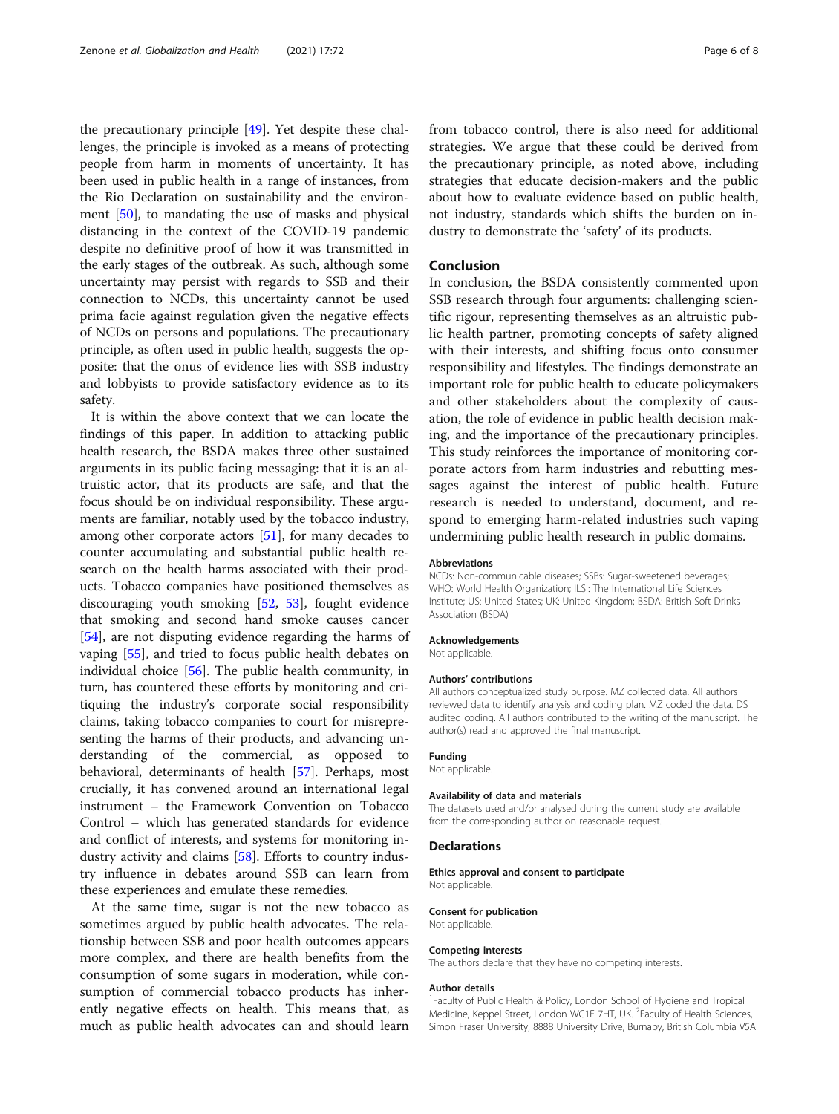the precautionary principle [\[49](#page-7-0)]. Yet despite these challenges, the principle is invoked as a means of protecting people from harm in moments of uncertainty. It has been used in public health in a range of instances, from the Rio Declaration on sustainability and the environment [[50\]](#page-7-0), to mandating the use of masks and physical distancing in the context of the COVID-19 pandemic despite no definitive proof of how it was transmitted in the early stages of the outbreak. As such, although some uncertainty may persist with regards to SSB and their connection to NCDs, this uncertainty cannot be used prima facie against regulation given the negative effects of NCDs on persons and populations. The precautionary principle, as often used in public health, suggests the opposite: that the onus of evidence lies with SSB industry and lobbyists to provide satisfactory evidence as to its safety.

It is within the above context that we can locate the findings of this paper. In addition to attacking public health research, the BSDA makes three other sustained arguments in its public facing messaging: that it is an altruistic actor, that its products are safe, and that the focus should be on individual responsibility. These arguments are familiar, notably used by the tobacco industry, among other corporate actors [\[51](#page-7-0)], for many decades to counter accumulating and substantial public health research on the health harms associated with their products. Tobacco companies have positioned themselves as discouraging youth smoking [[52](#page-7-0), [53\]](#page-7-0), fought evidence that smoking and second hand smoke causes cancer [[54\]](#page-7-0), are not disputing evidence regarding the harms of vaping [\[55](#page-7-0)], and tried to focus public health debates on individual choice [[56](#page-7-0)]. The public health community, in turn, has countered these efforts by monitoring and critiquing the industry's corporate social responsibility claims, taking tobacco companies to court for misrepresenting the harms of their products, and advancing understanding of the commercial, as opposed to behavioral, determinants of health [[57\]](#page-7-0). Perhaps, most crucially, it has convened around an international legal instrument – the Framework Convention on Tobacco Control – which has generated standards for evidence and conflict of interests, and systems for monitoring industry activity and claims [\[58\]](#page-7-0). Efforts to country industry influence in debates around SSB can learn from these experiences and emulate these remedies.

At the same time, sugar is not the new tobacco as sometimes argued by public health advocates. The relationship between SSB and poor health outcomes appears more complex, and there are health benefits from the consumption of some sugars in moderation, while consumption of commercial tobacco products has inherently negative effects on health. This means that, as much as public health advocates can and should learn from tobacco control, there is also need for additional strategies. We argue that these could be derived from the precautionary principle, as noted above, including strategies that educate decision-makers and the public about how to evaluate evidence based on public health, not industry, standards which shifts the burden on industry to demonstrate the 'safety' of its products.

#### Conclusion

In conclusion, the BSDA consistently commented upon SSB research through four arguments: challenging scientific rigour, representing themselves as an altruistic public health partner, promoting concepts of safety aligned with their interests, and shifting focus onto consumer responsibility and lifestyles. The findings demonstrate an important role for public health to educate policymakers and other stakeholders about the complexity of causation, the role of evidence in public health decision making, and the importance of the precautionary principles. This study reinforces the importance of monitoring corporate actors from harm industries and rebutting messages against the interest of public health. Future research is needed to understand, document, and respond to emerging harm-related industries such vaping undermining public health research in public domains.

#### Abbreviations

NCDs: Non-communicable diseases; SSBs: Sugar-sweetened beverages; WHO: World Health Organization; ILSI: The International Life Sciences Institute; US: United States; UK: United Kingdom; BSDA: British Soft Drinks Association (BSDA)

#### Acknowledgements

Not applicable.

#### Authors' contributions

All authors conceptualized study purpose. MZ collected data. All authors reviewed data to identify analysis and coding plan. MZ coded the data. DS audited coding. All authors contributed to the writing of the manuscript. The author(s) read and approved the final manuscript.

#### Funding

Not applicable.

#### Availability of data and materials

The datasets used and/or analysed during the current study are available from the corresponding author on reasonable request.

#### Declarations

Ethics approval and consent to participate Not applicable.

#### Consent for publication

Not applicable.

#### Competing interests

The authors declare that they have no competing interests.

#### Author details

<sup>1</sup> Faculty of Public Health & Policy, London School of Hygiene and Tropical Medicine, Keppel Street, London WC1E 7HT, UK. <sup>2</sup>Faculty of Health Sciences Simon Fraser University, 8888 University Drive, Burnaby, British Columbia V5A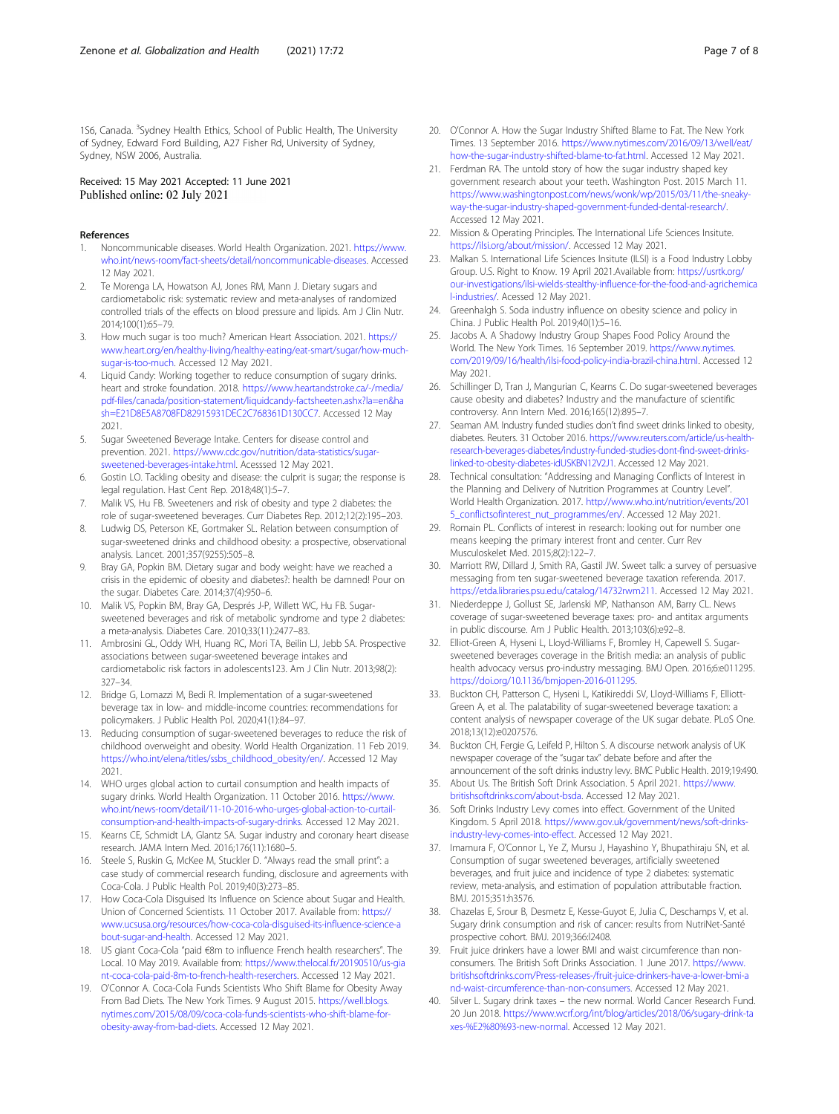<span id="page-6-0"></span>1S6, Canada. <sup>3</sup>Sydney Health Ethics, School of Public Health, The University of Sydney, Edward Ford Building, A27 Fisher Rd, University of Sydney, Sydney, NSW 2006, Australia.

#### Received: 15 May 2021 Accepted: 11 June 2021 Published online: 02 July 2021

#### References

- 1. Noncommunicable diseases. World Health Organization. 2021. [https://www.](https://www.who.int/news-room/fact-sheets/detail/noncommunicable-diseases) [who.int/news-room/fact-sheets/detail/noncommunicable-diseases](https://www.who.int/news-room/fact-sheets/detail/noncommunicable-diseases). Accessed 12 May 2021.
- 2. Te Morenga LA, Howatson AJ, Jones RM, Mann J. Dietary sugars and cardiometabolic risk: systematic review and meta-analyses of randomized controlled trials of the effects on blood pressure and lipids. Am J Clin Nutr. 2014;100(1):65–79.
- How much sugar is too much? American Heart Association. 2021. [https://](https://www.heart.org/en/healthy-living/healthy-eating/eat-smart/sugar/how-much-sugar-is-too-much) [www.heart.org/en/healthy-living/healthy-eating/eat-smart/sugar/how-much](https://www.heart.org/en/healthy-living/healthy-eating/eat-smart/sugar/how-much-sugar-is-too-much)[sugar-is-too-much.](https://www.heart.org/en/healthy-living/healthy-eating/eat-smart/sugar/how-much-sugar-is-too-much) Accessed 12 May 2021.
- 4. Liquid Candy: Working together to reduce consumption of sugary drinks. heart and stroke foundation. 2018. [https://www.heartandstroke.ca/-/media/](https://www.heartandstroke.ca/-/media/pdf-files/canada/position-statement/liquidcandy-factsheeten.ashx?la=en&hash=E21D8E5A8708FD82915931DEC2C768361D130CC7) [pdf-files/canada/position-statement/liquidcandy-factsheeten.ashx?la=en&ha](https://www.heartandstroke.ca/-/media/pdf-files/canada/position-statement/liquidcandy-factsheeten.ashx?la=en&hash=E21D8E5A8708FD82915931DEC2C768361D130CC7) [sh=E21D8E5A8708FD82915931DEC2C768361D130CC7](https://www.heartandstroke.ca/-/media/pdf-files/canada/position-statement/liquidcandy-factsheeten.ashx?la=en&hash=E21D8E5A8708FD82915931DEC2C768361D130CC7). Accessed 12 May 2021.
- 5. Sugar Sweetened Beverage Intake. Centers for disease control and prevention. 2021. [https://www.cdc.gov/nutrition/data-statistics/sugar](https://www.cdc.gov/nutrition/data-statistics/sugar-sweetened-beverages-intake.html)[sweetened-beverages-intake.html](https://www.cdc.gov/nutrition/data-statistics/sugar-sweetened-beverages-intake.html). Acesssed 12 May 2021.
- 6. Gostin LO. Tackling obesity and disease: the culprit is sugar; the response is legal regulation. Hast Cent Rep. 2018;48(1):5–7.
- 7. Malik VS, Hu FB. Sweeteners and risk of obesity and type 2 diabetes: the role of sugar-sweetened beverages. Curr Diabetes Rep. 2012;12(2):195–203.
- 8. Ludwig DS, Peterson KE, Gortmaker SL, Relation between consumption of sugar-sweetened drinks and childhood obesity: a prospective, observational analysis. Lancet. 2001;357(9255):505–8.
- 9. Bray GA, Popkin BM. Dietary sugar and body weight: have we reached a crisis in the epidemic of obesity and diabetes?: health be damned! Pour on the sugar. Diabetes Care. 2014;37(4):950–6.
- 10. Malik VS, Popkin BM, Bray GA, Després J-P, Willett WC, Hu FB. Sugarsweetened beverages and risk of metabolic syndrome and type 2 diabetes: a meta-analysis. Diabetes Care. 2010;33(11):2477–83.
- 11. Ambrosini GL, Oddy WH, Huang RC, Mori TA, Beilin LJ, Jebb SA. Prospective associations between sugar-sweetened beverage intakes and cardiometabolic risk factors in adolescents123. Am J Clin Nutr. 2013;98(2): 327–34.
- 12. Bridge G, Lomazzi M, Bedi R. Implementation of a sugar-sweetened beverage tax in low- and middle-income countries: recommendations for policymakers. J Public Health Pol. 2020;41(1):84–97.
- 13. Reducing consumption of sugar-sweetened beverages to reduce the risk of childhood overweight and obesity. World Health Organization. 11 Feb 2019. [https://who.int/elena/titles/ssbs\\_childhood\\_obesity/en/.](https://who.int/elena/titles/ssbs_childhood_obesity/en/) Accessed 12 May 2021.
- 14. WHO urges global action to curtail consumption and health impacts of sugary drinks. World Health Organization. 11 October 2016. [https://www.](https://www.who.int/news-room/detail/11-10-2016-who-urges-global-action-to-curtail-consumption-and-health-impacts-of-sugary-drinks) [who.int/news-room/detail/11-10-2016-who-urges-global-action-to-curtail](https://www.who.int/news-room/detail/11-10-2016-who-urges-global-action-to-curtail-consumption-and-health-impacts-of-sugary-drinks)[consumption-and-health-impacts-of-sugary-drinks.](https://www.who.int/news-room/detail/11-10-2016-who-urges-global-action-to-curtail-consumption-and-health-impacts-of-sugary-drinks) Accessed 12 May 2021.
- 15. Kearns CE, Schmidt LA, Glantz SA. Sugar industry and coronary heart disease research. JAMA Intern Med. 2016;176(11):1680–5.
- 16. Steele S, Ruskin G, McKee M, Stuckler D. "Always read the small print": a case study of commercial research funding, disclosure and agreements with Coca-Cola. J Public Health Pol. 2019;40(3):273–85.
- 17. How Coca-Cola Disguised Its Influence on Science about Sugar and Health. Union of Concerned Scientists. 11 October 2017. Available from: [https://](https://www.ucsusa.org/resources/how-coca-cola-disguised-its-influence-science-about-sugar-and-health) [www.ucsusa.org/resources/how-coca-cola-disguised-its-influence-science-a](https://www.ucsusa.org/resources/how-coca-cola-disguised-its-influence-science-about-sugar-and-health) [bout-sugar-and-health](https://www.ucsusa.org/resources/how-coca-cola-disguised-its-influence-science-about-sugar-and-health). Accessed 12 May 2021.
- 18. US giant Coca-Cola "paid €8m to influence French health researchers". The Local. 10 May 2019. Available from: [https://www.thelocal.fr/20190510/us-gia](https://www.thelocal.fr/20190510/us-giant-coca-cola-paid-8m-to-french-health-reserchers) [nt-coca-cola-paid-8m-to-french-health-reserchers.](https://www.thelocal.fr/20190510/us-giant-coca-cola-paid-8m-to-french-health-reserchers) Accessed 12 May 2021.
- 19. O'Connor A. Coca-Cola Funds Scientists Who Shift Blame for Obesity Away From Bad Diets. The New York Times. 9 August 2015. [https://well.blogs.](https://well.blogs.nytimes.com/2015/08/09/coca-cola-funds-scientists-who-shift-blame-for-obesity-away-from-bad-diets) [nytimes.com/2015/08/09/coca-cola-funds-scientists-who-shift-blame-for](https://well.blogs.nytimes.com/2015/08/09/coca-cola-funds-scientists-who-shift-blame-for-obesity-away-from-bad-diets)[obesity-away-from-bad-diets.](https://well.blogs.nytimes.com/2015/08/09/coca-cola-funds-scientists-who-shift-blame-for-obesity-away-from-bad-diets) Accessed 12 May 2021.
- 20. O'Connor A. How the Sugar Industry Shifted Blame to Fat. The New York Times. 13 September 2016. [https://www.nytimes.com/2016/09/13/well/eat/](https://www.nytimes.com/2016/09/13/well/eat/how-the-sugar-industry-shifted-blame-to-fat.html) [how-the-sugar-industry-shifted-blame-to-fat.html.](https://www.nytimes.com/2016/09/13/well/eat/how-the-sugar-industry-shifted-blame-to-fat.html) Accessed 12 May 2021.
- 21. Ferdman RA. The untold story of how the sugar industry shaped key government research about your teeth. Washington Post. 2015 March 11. [https://www.washingtonpost.com/news/wonk/wp/2015/03/11/the-sneaky](https://www.washingtonpost.com/news/wonk/wp/2015/03/11/the-sneaky-way-the-sugar-industry-shaped-government-funded-dental-research/)[way-the-sugar-industry-shaped-government-funded-dental-research/.](https://www.washingtonpost.com/news/wonk/wp/2015/03/11/the-sneaky-way-the-sugar-industry-shaped-government-funded-dental-research/) Accessed 12 May 2021.
- 22. Mission & Operating Principles. The International Life Sciences Insitute. [https://ilsi.org/about/mission/.](https://ilsi.org/about/mission/) Accessed 12 May 2021.
- 23. Malkan S. International Life Sciences Insitute (ILSI) is a Food Industry Lobby Group. U.S. Right to Know. 19 April 2021.Available from: [https://usrtk.org/](https://usrtk.org/our-investigations/ilsi-wields-stealthy-influence-for-the-food-and-agrichemical-industries/) [our-investigations/ilsi-wields-stealthy-influence-for-the-food-and-agrichemica](https://usrtk.org/our-investigations/ilsi-wields-stealthy-influence-for-the-food-and-agrichemical-industries/) [l-industries/.](https://usrtk.org/our-investigations/ilsi-wields-stealthy-influence-for-the-food-and-agrichemical-industries/) Acessed 12 May 2021.
- 24. Greenhalgh S. Soda industry influence on obesity science and policy in China. J Public Health Pol. 2019;40(1):5–16.
- 25. Jacobs A. A Shadowy Industry Group Shapes Food Policy Around the World. The New York Times. 16 September 2019. [https://www.nytimes.](https://www.nytimes.com/2019/09/16/health/ilsi-food-policy-india-brazil-china.html) [com/2019/09/16/health/ilsi-food-policy-india-brazil-china.html.](https://www.nytimes.com/2019/09/16/health/ilsi-food-policy-india-brazil-china.html) Accessed 12 May 2021.
- 26. Schillinger D, Tran J, Mangurian C, Kearns C. Do sugar-sweetened beverages cause obesity and diabetes? Industry and the manufacture of scientific controversy. Ann Intern Med. 2016;165(12):895–7.
- 27. Seaman AM. Industry funded studies don't find sweet drinks linked to obesity, diabetes. Reuters. 31 October 2016. [https://www.reuters.com/article/us-health](https://www.reuters.com/article/us-health-research-beverages-diabetes/industry-funded-studies-dont-find-sweet-drinks-linked-to-obesity-diabetes-idUSKBN12V2J1)[research-beverages-diabetes/industry-funded-studies-dont-find-sweet-drinks](https://www.reuters.com/article/us-health-research-beverages-diabetes/industry-funded-studies-dont-find-sweet-drinks-linked-to-obesity-diabetes-idUSKBN12V2J1)[linked-to-obesity-diabetes-idUSKBN12V2J1](https://www.reuters.com/article/us-health-research-beverages-diabetes/industry-funded-studies-dont-find-sweet-drinks-linked-to-obesity-diabetes-idUSKBN12V2J1). Accessed 12 May 2021.
- 28. Technical consultation: "Addressing and Managing Conflicts of Interest in the Planning and Delivery of Nutrition Programmes at Country Level". World Health Organization. 2017. [http://www.who.int/nutrition/events/201](http://www.who.int/nutrition/events/2015_conflictsofinterest_nut_programmes/en/) [5\\_conflictsofinterest\\_nut\\_programmes/en/](http://www.who.int/nutrition/events/2015_conflictsofinterest_nut_programmes/en/). Accessed 12 May 2021.
- 29. Romain PL. Conflicts of interest in research: looking out for number one means keeping the primary interest front and center. Curr Rev Musculoskelet Med. 2015;8(2):122–7.
- 30. Marriott RW, Dillard J, Smith RA, Gastil JW. Sweet talk: a survey of persuasive messaging from ten sugar-sweetened beverage taxation referenda. 2017. <https://etda.libraries.psu.edu/catalog/14732rwm211>. Accessed 12 May 2021.
- 31. Niederdeppe J, Gollust SE, Jarlenski MP, Nathanson AM, Barry CL. News coverage of sugar-sweetened beverage taxes: pro- and antitax arguments in public discourse. Am J Public Health. 2013;103(6):e92–8.
- 32. Elliot-Green A, Hyseni L, Lloyd-Williams F, Bromley H, Capewell S. Sugarsweetened beverages coverage in the British media: an analysis of public health advocacy versus pro-industry messaging. BMJ Open. 2016;6:e011295. <https://doi.org/10.1136/bmjopen-2016-011295>.
- 33. Buckton CH, Patterson C, Hyseni L, Katikireddi SV, Lloyd-Williams F, Elliott-Green A, et al. The palatability of sugar-sweetened beverage taxation: a content analysis of newspaper coverage of the UK sugar debate. PLoS One. 2018;13(12):e0207576.
- 34. Buckton CH, Fergie G, Leifeld P, Hilton S. A discourse network analysis of UK newspaper coverage of the "sugar tax" debate before and after the announcement of the soft drinks industry levy. BMC Public Health. 2019;19:490.
- 35. About Us. The British Soft Drink Association. 5 April 2021. [https://www.](https://www.britishsoftdrinks.com/about-bsda) [britishsoftdrinks.com/about-bsda.](https://www.britishsoftdrinks.com/about-bsda) Accessed 12 May 2021.
- 36. Soft Drinks Industry Levy comes into effect. Government of the United Kingdom. 5 April 2018. [https://www.gov.uk/government/news/soft-drinks](https://www.gov.uk/government/news/soft-drinks-industry-levy-comes-into-effect)[industry-levy-comes-into-effect.](https://www.gov.uk/government/news/soft-drinks-industry-levy-comes-into-effect) Accessed 12 May 2021.
- 37. Imamura F, O'Connor L, Ye Z, Mursu J, Hayashino Y, Bhupathiraju SN, et al. Consumption of sugar sweetened beverages, artificially sweetened beverages, and fruit juice and incidence of type 2 diabetes: systematic review, meta-analysis, and estimation of population attributable fraction. BMJ. 2015;351:h3576.
- 38. Chazelas E, Srour B, Desmetz E, Kesse-Guyot E, Julia C, Deschamps V, et al. Sugary drink consumption and risk of cancer: results from NutriNet-Santé prospective cohort. BMJ. 2019;366:l2408.
- Fruit juice drinkers have a lower BMI and waist circumference than nonconsumers. The British Soft Drinks Association. 1 June 2017. [https://www.](https://www.britishsoftdrinks.com/Press-releases-/fruit-juice-drinkers-have-a-lower-bmi-and-waist-circumference-than-non-consumers) [britishsoftdrinks.com/Press-releases-/fruit-juice-drinkers-have-a-lower-bmi-a](https://www.britishsoftdrinks.com/Press-releases-/fruit-juice-drinkers-have-a-lower-bmi-and-waist-circumference-than-non-consumers) [nd-waist-circumference-than-non-consumers.](https://www.britishsoftdrinks.com/Press-releases-/fruit-juice-drinkers-have-a-lower-bmi-and-waist-circumference-than-non-consumers) Accessed 12 May 2021.
- 40. Silver L. Sugary drink taxes the new normal. World Cancer Research Fund. 20 Jun 2018. [https://www.wcrf.org/int/blog/articles/2018/06/sugary-drink-ta](https://www.wcrf.org/int/blog/articles/2018/06/sugary-drink-taxes-%E2%80%93-new-normal) [xes-%E2%80%93-new-normal](https://www.wcrf.org/int/blog/articles/2018/06/sugary-drink-taxes-%E2%80%93-new-normal). Accessed 12 May 2021.